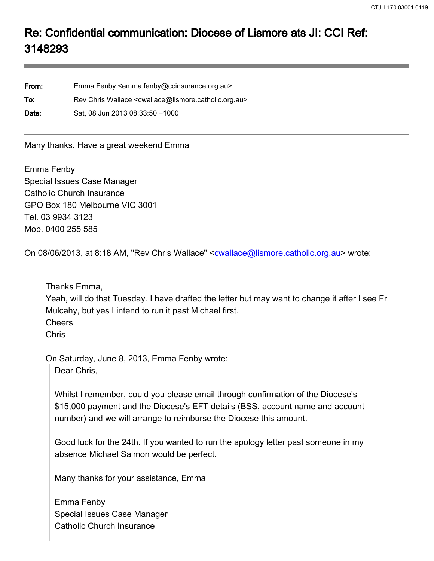## Re: Confidential communication: Diocese of Lismore ats JI: CCI Ref: 3148293

From: Emma Fenby <emma.fenby@ccinsurance.org.au> To: Rev Chris Wallace <cwallace@lismore.catholic.org.au> Date: Sat, 08 Jun 2013 08:33:50 +1000

Many thanks. Have a great weekend Emma

Emma Fenby Special Issues Case Manager Catholic Church Insurance GPO Box 180 Melbourne VIC 3001 Tel. 03 9934 3123 Mob. 0400 255 585

On 08/06/2013, at 8:18 AM, "Rev Chris Wallace" <cwallace@lismore.catholic.org.au> wrote:

Thanks Emma,

Yeah, will do that Tuesday. I have drafted the letter but may want to change it after I see Fr Mulcahy, but yes I intend to run it past Michael first. Cheers

Chris

On Saturday, June 8, 2013, Emma Fenby wrote:

Dear Chris,

Whilst I remember, could you please email through confirmation of the Diocese's \$15,000 payment and the Diocese's EFT details (BSS, account name and account number) and we will arrange to reimburse the Diocese this amount.

Good luck for the 24th. If you wanted to run the apology letter past someone in my absence Michael Salmon would be perfect.

Many thanks for your assistance, Emma

Emma Fenby Special Issues Case Manager Catholic Church Insurance